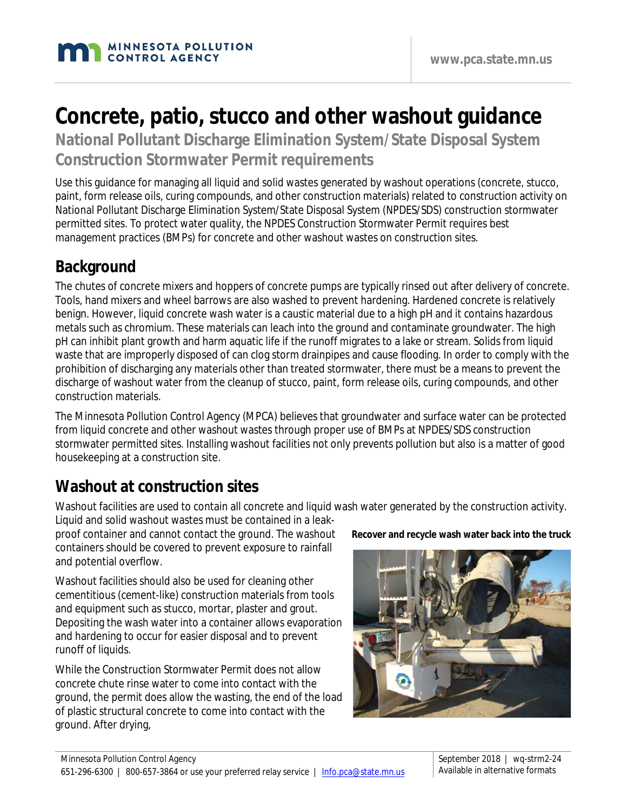# **Concrete, patio, stucco and other washout guidance**

**National Pollutant Discharge Elimination System/State Disposal System Construction Stormwater Permit requirements**

Use this guidance for managing all liquid and solid wastes generated by washout operations (concrete, stucco, paint, form release oils, curing compounds, and other construction materials) related to construction activity on National Pollutant Discharge Elimination System/State Disposal System (NPDES/SDS) construction stormwater permitted sites. To protect water quality, the NPDES Construction Stormwater Permit requires best management practices (BMPs) for concrete and other washout wastes on construction sites.

### **Background**

The chutes of concrete mixers and hoppers of concrete pumps are typically rinsed out after delivery of concrete. Tools, hand mixers and wheel barrows are also washed to prevent hardening. Hardened concrete is relatively benign. However, liquid concrete wash water is a caustic material due to a high pH and it contains hazardous metals such as chromium. These materials can leach into the ground and contaminate groundwater. The high pH can inhibit plant growth and harm aquatic life if the runoff migrates to a lake or stream. Solids from liquid waste that are improperly disposed of can clog storm drainpipes and cause flooding. In order to comply with the prohibition of discharging any materials other than treated stormwater, there must be a means to prevent the discharge of washout water from the cleanup of stucco, paint, form release oils, curing compounds, and other construction materials.

The Minnesota Pollution Control Agency (MPCA) believes that groundwater and surface water can be protected from liquid concrete and other washout wastes through proper use of BMPs at NPDES/SDS construction stormwater permitted sites. Installing washout facilities not only prevents pollution but also is a matter of good housekeeping at a construction site.

# **Washout at construction sites**

Washout facilities are used to contain all concrete and liquid wash water generated by the construction activity.

Liquid and solid washout wastes must be contained in a leakproof container and cannot contact the ground. The washout containers should be covered to prevent exposure to rainfall and potential overflow.

Washout facilities should also be used for cleaning other cementitious (cement-like) construction materials from tools and equipment such as stucco, mortar, plaster and grout. Depositing the wash water into a container allows evaporation and hardening to occur for easier disposal and to prevent runoff of liquids.

While the Construction Stormwater Permit does not allow concrete chute rinse water to come into contact with the ground, the permit does allow the wasting, the end of the load of plastic structural concrete to come into contact with the ground. After drying,

**Recover and recycle wash water back into the truck**

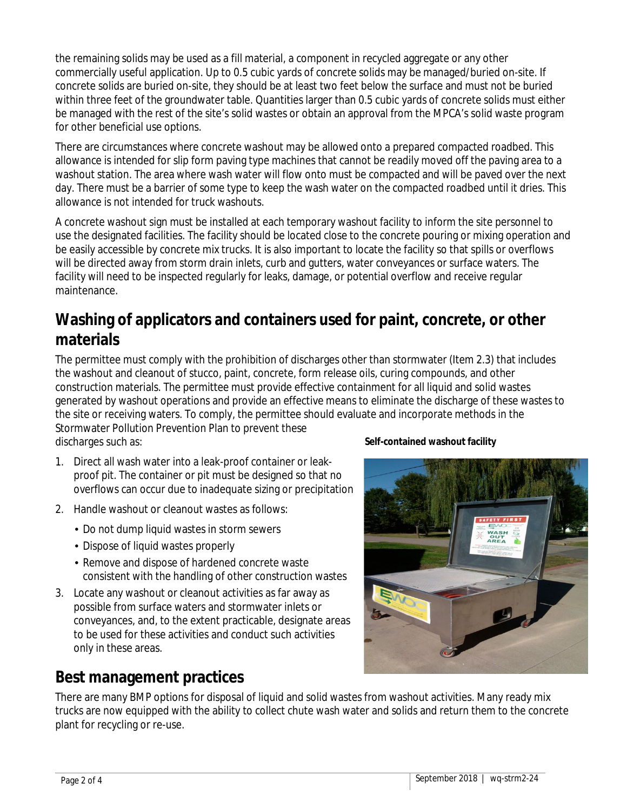the remaining solids may be used as a fill material, a component in recycled aggregate or any other commercially useful application. Up to 0.5 cubic yards of concrete solids may be managed/buried on-site. If concrete solids are buried on-site, they should be at least two feet below the surface and must not be buried within three feet of the groundwater table. Quantities larger than 0.5 cubic yards of concrete solids must either be managed with the rest of the site's solid wastes or obtain an approval from the MPCA's solid waste program for other beneficial use options.

There are circumstances where concrete washout may be allowed onto a prepared compacted roadbed. This allowance is intended for slip form paving type machines that cannot be readily moved off the paving area to a washout station. The area where wash water will flow onto must be compacted and will be paved over the next day. There must be a barrier of some type to keep the wash water on the compacted roadbed until it dries. This allowance is not intended for truck washouts.

A concrete washout sign must be installed at each temporary washout facility to inform the site personnel to use the designated facilities. The facility should be located close to the concrete pouring or mixing operation and be easily accessible by concrete mix trucks. It is also important to locate the facility so that spills or overflows will be directed away from storm drain inlets, curb and gutters, water conveyances or surface waters. The facility will need to be inspected regularly for leaks, damage, or potential overflow and receive regular maintenance.

### **Washing of applicators and containers used for paint, concrete, or other materials**

The permittee must comply with the prohibition of discharges other than stormwater (Item 2.3) that includes the washout and cleanout of stucco, paint, concrete, form release oils, curing compounds, and other construction materials. The permittee must provide effective containment for all liquid and solid wastes generated by washout operations and provide an effective means to eliminate the discharge of these wastes to the site or receiving waters. To comply, the permittee should evaluate and incorporate methods in the Stormwater Pollution Prevention Plan to prevent these

discharges such as:

- 1. Direct all wash water into a leak-proof container or leakproof pit. The container or pit must be designed so that no overflows can occur due to inadequate sizing or precipitation
- 2. Handle washout or cleanout wastes as follows:
	- Do not dump liquid wastes in storm sewers
	- Dispose of liquid wastes properly
	- Remove and dispose of hardened concrete waste consistent with the handling of other construction wastes
- 3. Locate any washout or cleanout activities as far away as possible from surface waters and stormwater inlets or conveyances, and, to the extent practicable, designate areas to be used for these activities and conduct such activities only in these areas.

### **Best management practices**

**Self-contained washout facility**



There are many BMP options for disposal of liquid and solid wastes from washout activities. Many ready mix trucks are now equipped with the ability to collect chute wash water and solids and return them to the concrete plant for recycling or re-use.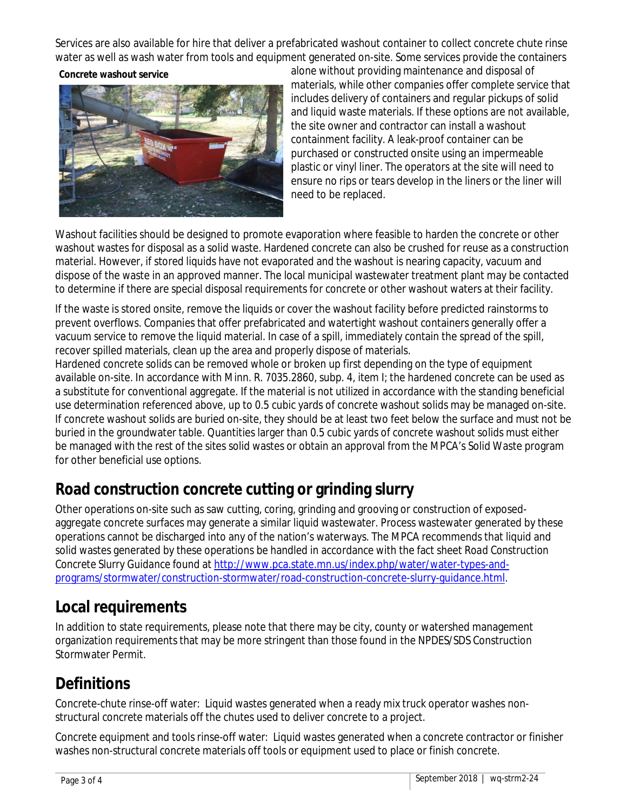Services are also available for hire that deliver a prefabricated washout container to collect concrete chute rinse water as well as wash water from tools and equipment generated on-site. Some services provide the containers

#### **Concrete washout service**



alone without providing maintenance and disposal of materials, while other companies offer complete service that includes delivery of containers and regular pickups of solid and liquid waste materials. If these options are not available, the site owner and contractor can install a washout containment facility. A leak-proof container can be purchased or constructed onsite using an impermeable plastic or vinyl liner. The operators at the site will need to ensure no rips or tears develop in the liners or the liner will need to be replaced.

Washout facilities should be designed to promote evaporation where feasible to harden the concrete or other washout wastes for disposal as a solid waste. Hardened concrete can also be crushed for reuse as a construction material. However, if stored liquids have not evaporated and the washout is nearing capacity, vacuum and dispose of the waste in an approved manner. The local municipal wastewater treatment plant may be contacted to determine if there are special disposal requirements for concrete or other washout waters at their facility.

If the waste is stored onsite, remove the liquids or cover the washout facility before predicted rainstorms to prevent overflows. Companies that offer prefabricated and watertight washout containers generally offer a vacuum service to remove the liquid material. In case of a spill, immediately contain the spread of the spill, recover spilled materials, clean up the area and properly dispose of materials.

Hardened concrete solids can be removed whole or broken up first depending on the type of equipment available on-site. In accordance with Minn. R. 7035.2860, subp. 4, item I; the hardened concrete can be used as a substitute for conventional aggregate. If the material is not utilized in accordance with the standing beneficial use determination referenced above, up to 0.5 cubic yards of concrete washout solids may be managed on-site. If concrete washout solids are buried on-site, they should be at least two feet below the surface and must not be buried in the groundwater table. Quantities larger than 0.5 cubic yards of concrete washout solids must either be managed with the rest of the sites solid wastes or obtain an approval from the MPCA's Solid Waste program for other beneficial use options.

### **Road construction concrete cutting or grinding slurry**

Other operations on-site such as saw cutting, coring, grinding and grooving or construction of exposedaggregate concrete surfaces may generate a similar liquid wastewater. Process wastewater generated by these operations cannot be discharged into any of the nation's waterways. The MPCA recommends that liquid and solid wastes generated by these operations be handled in accordance with the fact sheet *Road Construction Concrete Slurry Guidance* found at [http://www.pca.state.mn.us/index.php/water/water-types-and](http://www.pca.state.mn.us/index.php/water/water-types-and-programs/stormwater/construction-stormwater/road-construction-concrete-slurry-guidance.html)[programs/stormwater/construction-stormwater/road-construction-concrete-slurry-guidance.html.](http://www.pca.state.mn.us/index.php/water/water-types-and-programs/stormwater/construction-stormwater/road-construction-concrete-slurry-guidance.html)

### **Local requirements**

In addition to state requirements, please note that there may be city, county or watershed management organization requirements that may be more stringent than those found in the NPDES/SDS Construction Stormwater Permit.

# **Definitions**

Concrete-chute rinse-off water: Liquid wastes generated when a ready mix truck operator washes nonstructural concrete materials off the chutes used to deliver concrete to a project.

Concrete equipment and tools rinse-off water: Liquid wastes generated when a concrete contractor or finisher washes non-structural concrete materials off tools or equipment used to place or finish concrete.